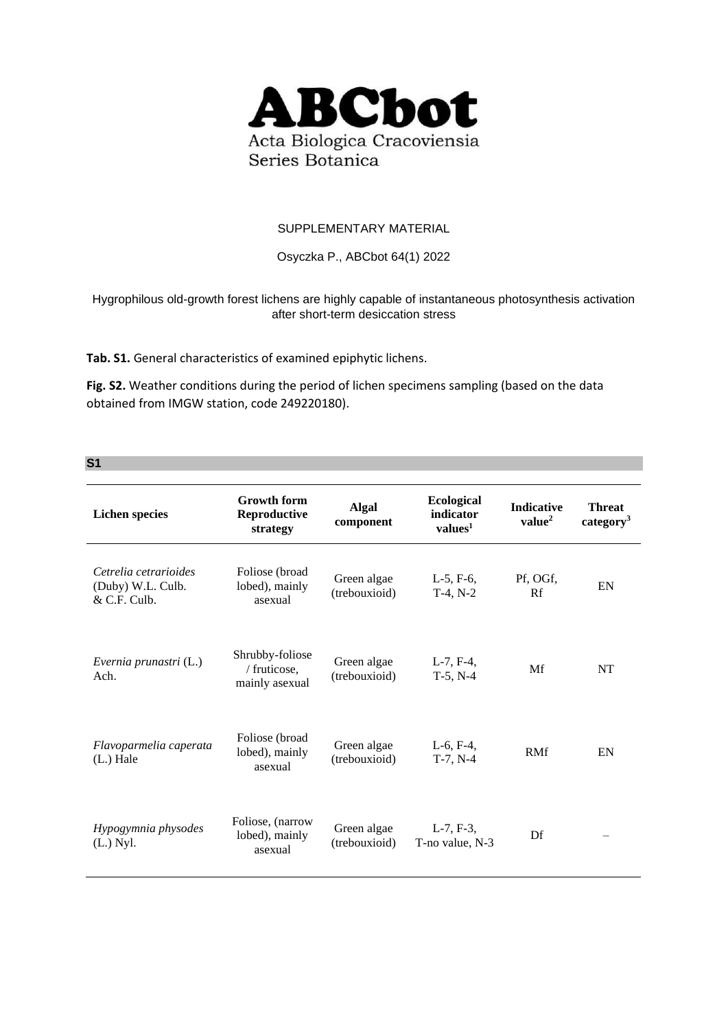

## SUPPLEMENTARY MATERIAL

## Osyczka P., ABCbot 64(1) 2022

## Hygrophilous old-growth forest lichens are highly capable of instantaneous photosynthesis activation after short-term desiccation stress

**Tab. S1.** General characteristics of examined epiphytic lichens.

**S1**

**Fig. S2.** Weather conditions during the period of lichen specimens sampling (based on the data obtained from IMGW station, code 249220180).

| <b>Lichen species</b>                                        | <b>Growth form</b><br>Reproductive<br>strategy    | <b>Algal</b><br>component    | <b>Ecological</b><br>indicator<br>values <sup>1</sup> | <b>Indicative</b><br>value <sup>2</sup> | <b>Threat</b><br>category <sup>3</sup> |
|--------------------------------------------------------------|---------------------------------------------------|------------------------------|-------------------------------------------------------|-----------------------------------------|----------------------------------------|
| Cetrelia cetrarioides<br>(Duby) W.L. Culb.<br>$&$ C.F. Culb. | Foliose (broad<br>lobed), mainly<br>asexual       | Green algae<br>(trebouxioid) | $L-5$ , $F-6$ ,<br>$T-4, N-2$                         | Pf, OGf,<br>Rf                          | EN                                     |
| Evernia prunastri (L.)<br>Ach.                               | Shrubby-foliose<br>/ fruticose,<br>mainly asexual | Green algae<br>(trebouxioid) | $L-7, F-4,$<br>$T-5, N-4$                             | Mf                                      | NT                                     |
| Flavoparmelia caperata<br>(L.) Hale                          | Foliose (broad<br>lobed), mainly<br>asexual       | Green algae<br>(trebouxioid) | $L-6$ , $F-4$ ,<br>$T-7, N-4$                         | RMf                                     | EN                                     |
| Hypogymnia physodes<br>$(L.)$ Nyl.                           | Foliose, (narrow<br>lobed), mainly<br>asexual     | Green algae<br>(trebouxioid) | $L-7, F-3,$<br>T-no value, N-3                        | Df                                      |                                        |